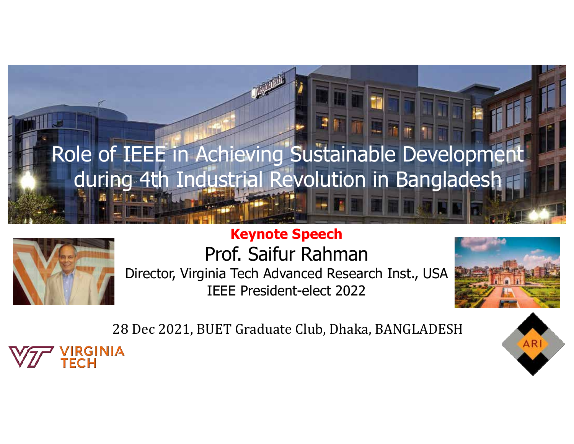# Role of IEEE in Achieving Sustainable Development during 4th Industrial Revolution in Bangladesh



#### **Keynote Speech** Prof. Saifur Rahman Director, Virginia Tech Advanced Research Inst., USA IEEE President-elect 2022



28 Dec 2021, BUET Graduate Club, Dhaka, BANGLADESH



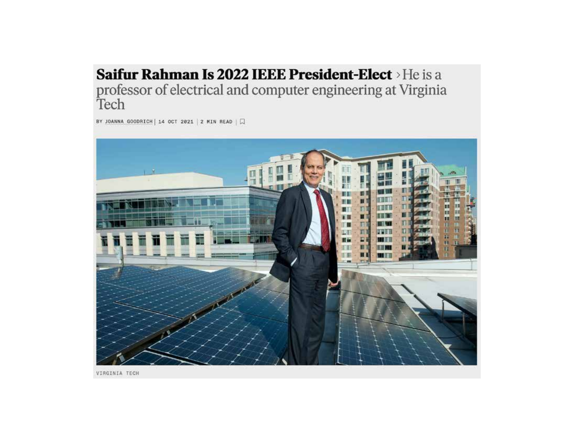#### Saifur Rahman Is 2022 IEEE President-Elect > He is a professor of electrical and computer engineering at Virginia Tech

BY JOANNA GOODRICH | 14 OCT 2021 | 2 MIN READ |  $\Box$ 



VIRGINIA TECH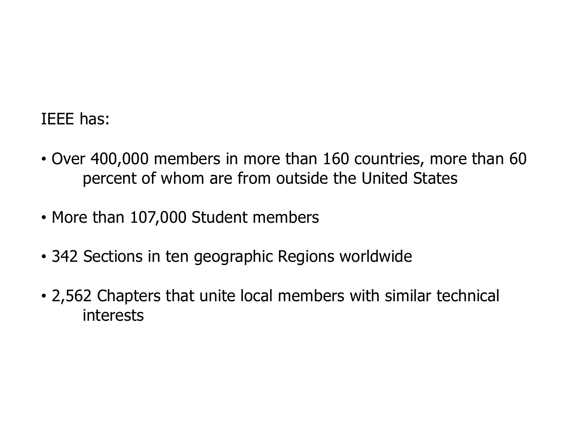### IEEE has:

- Over 400,000 members in more than 160 countries, more than 60 percent of whom are from outside the United States
- More than 107,000 Student members
- 342 Sections in ten geographic Regions worldwide
- 2,562 Chapters that unite local members with similar technical interests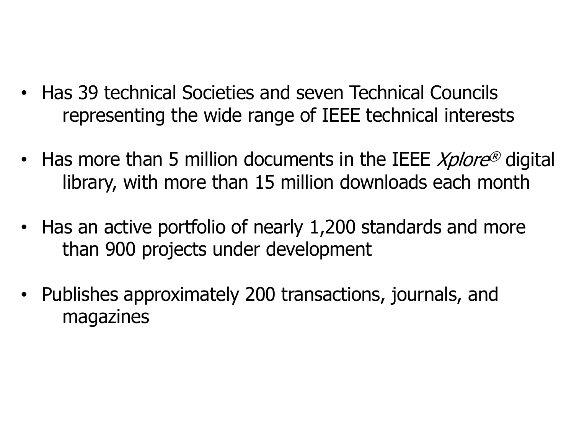- Has 39 technical Societies and seven Technical Councils representing the wide range of IEEE technical interests
- Has more than 5 million documents in the IEEE *Xplore<sup>®</sup>* digital library, with more than 15 million downloads each month
- Has an active portfolio of nearly 1,200 standards and more than 900 projects under development
- Publishes approximately 200 transactions, journals, and magazines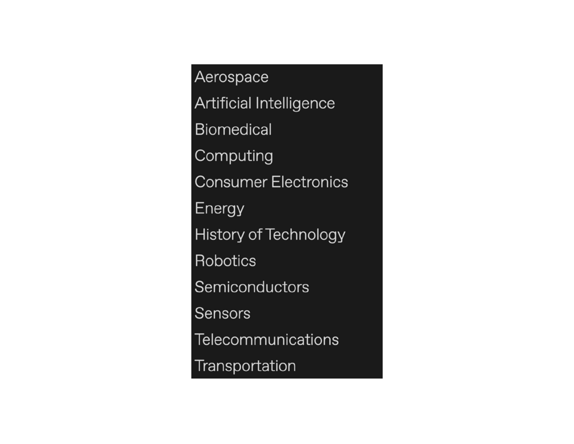Aerospace Artificial Intelligence **Biomedical** Computing **Consumer Electronics** Energy History of Technology Robotics Semiconductors Sensors **Telecommunications** Transportation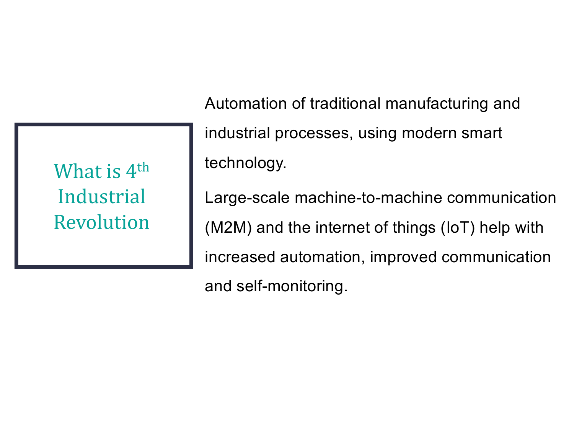| What is 4 <sup>th</sup> |
|-------------------------|
| Industrial              |
| Revolution              |

Automation of traditional manufacturing and industrial processes, using modern smart technology. Large-scale machine-to-machine communication

(M2M) and the internet of things (IoT) help with increased automation, improved communication

and self-monitoring.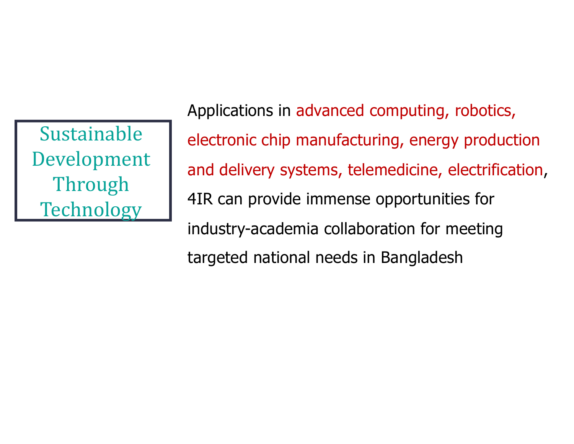**Sustainable** Development Through **Technology** 

Applications in advanced computing, robotics, electronic chip manufacturing, energy production and delivery systems, telemedicine, electrification, 4IR can provide immense opportunities for industry-academia collaboration for meeting targeted national needs in Bangladesh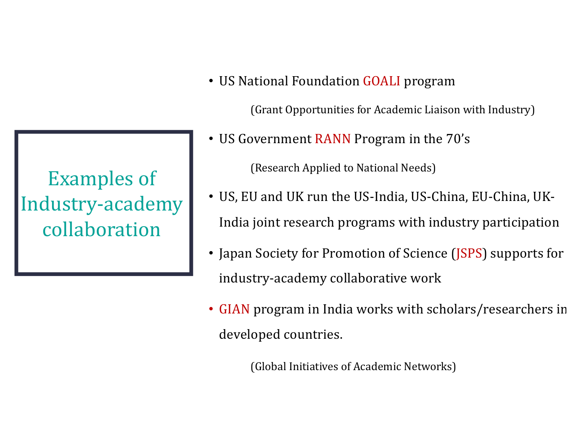## **Examples** of Industry-academy collaboration

• US National Foundation GOALI program

(Grant Opportunities for Academic Liaison with Industry)

• US Government RANN Program in the 70's

(Research Applied to National Needs)

- US, EU and UK run the US-India, US-China, EU-China, UK-India joint research programs with industry participation
- Japan Society for Promotion of Science (JSPS) supports for industry-academy collaborative work
- GIAN program in India works with scholars/researchers in developed countries.

(Global Initiatives of Academic Networks)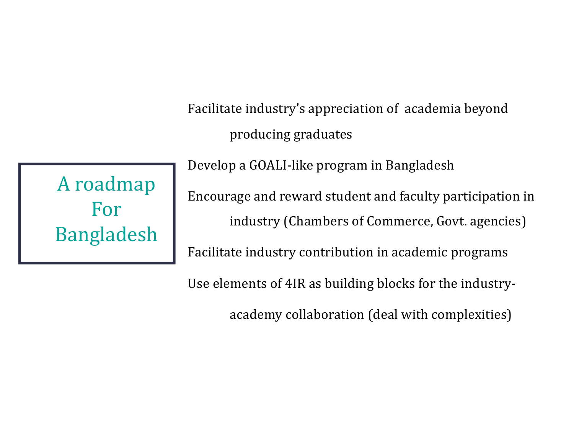Facilitate industry's appreciation of academia beyond producing graduates

A roadmap For Bangladesh Develop a GOALI-like program in Bangladesh Encourage and reward student and faculty participation in industry (Chambers of Commerce, Govt. agencies) Facilitate industry contribution in academic programs

Use elements of 4IR as building blocks for the industry-

academy collaboration (deal with complexities)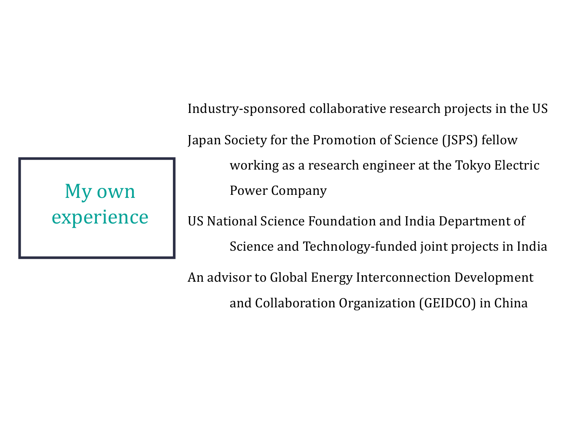Industry-sponsored collaborative research projects in the US Japan Society for the Promotion of Science (JSPS) fellow working as a research engineer at the Tokyo Electric Power Company

US National Science Foundation and India Department of Science and Technology-funded joint projects in India

An advisor to Global Energy Interconnection Development and Collaboration Organization (GEIDCO) in China

My own experience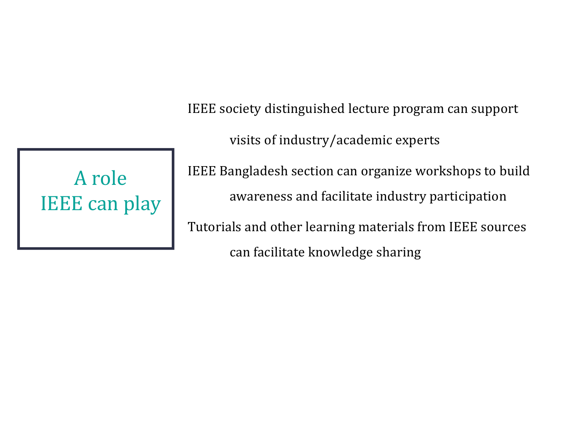IEEE society distinguished lecture program can support

visits of industry/academic experts

A role **IEEE** can play IEEE Bangladesh section can organize workshops to build awareness and facilitate industry participation

Tutorials and other learning materials from IEEE sources can facilitate knowledge sharing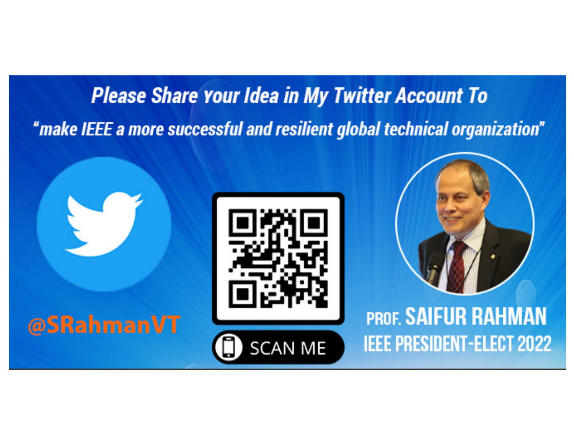## **Please Share Your Idea in My Twitter Account To** "make IEEE a more successful and resilient global technical organization"